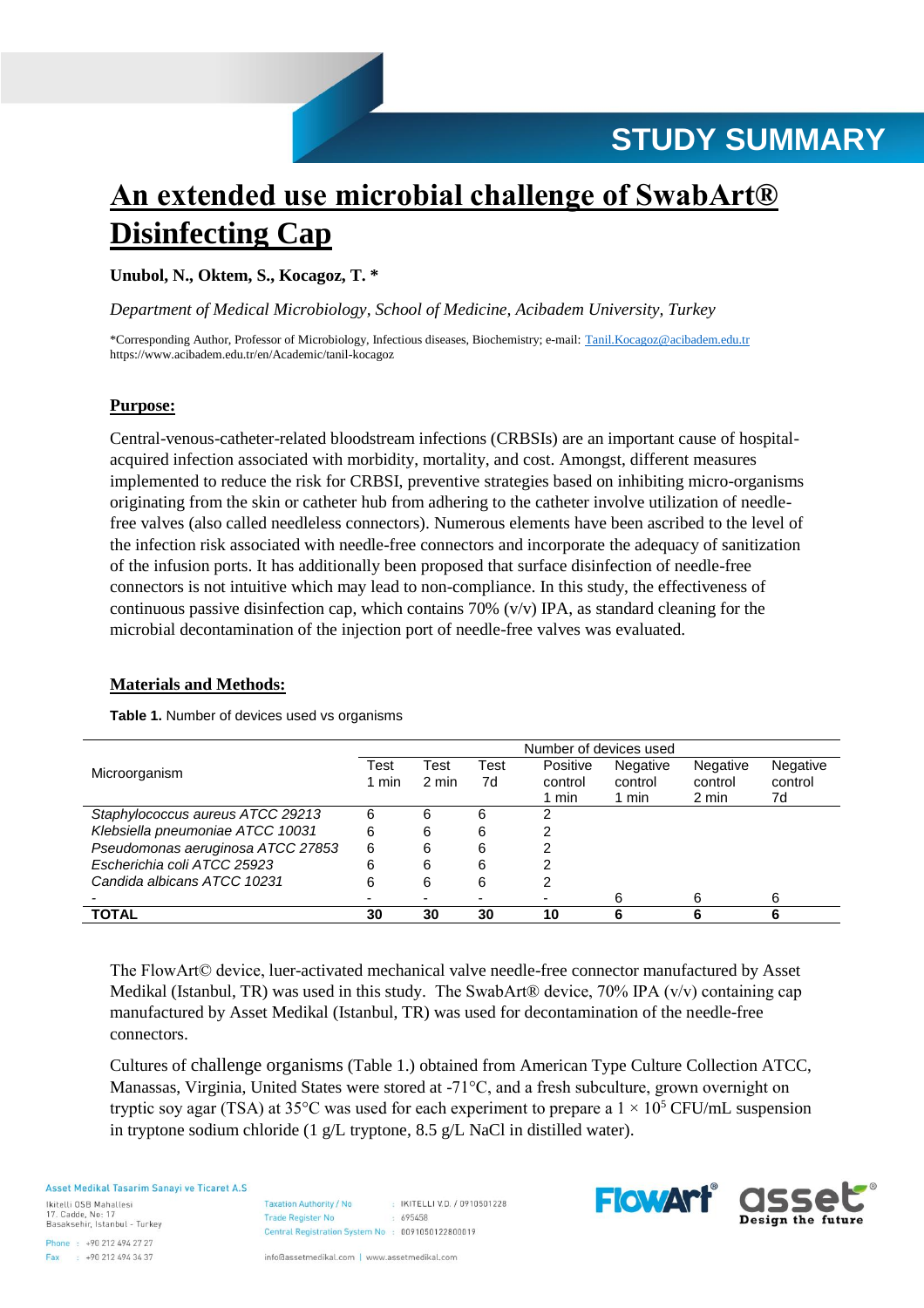

# **An extended use microbial challenge of SwabArt® Disinfecting Cap**

**Unubol, N., Oktem, S., Kocagoz, T. \***

*Department of Medical Microbiology, School of Medicine, Acibadem University, Turkey*

\*Corresponding Author, Professor of Microbiology, Infectious diseases, Biochemistry; e-mail: [Tanil.Kocagoz@acibadem.edu.tr](mailto:Tanil.Kocagoz@acibadem.edu.tr) https://www.acibadem.edu.tr/en/Academic/tanil-kocagoz

## **Purpose:**

Central-venous-catheter-related bloodstream infections (CRBSIs) are an important cause of hospitalacquired infection associated with morbidity, mortality, and cost. Amongst, different measures implemented to reduce the risk for CRBSI, preventive strategies based on inhibiting micro-organisms originating from the skin or catheter hub from adhering to the catheter involve utilization of needlefree valves (also called needleless connectors). Numerous elements have been ascribed to the level of the infection risk associated with needle-free connectors and incorporate the adequacy of sanitization of the infusion ports. It has additionally been proposed that surface disinfection of needle-free connectors is not intuitive which may lead to non-compliance. In this study, the effectiveness of continuous passive disinfection cap, which contains 70% ( $v/v$ ) IPA, as standard cleaning for the microbial decontamination of the injection port of needle-free valves was evaluated.

## **Materials and Methods:**

<span id="page-0-0"></span>**Table 1.** Number of devices used vs organisms

|                                   | Number of devices used |       |      |          |                 |          |          |  |
|-----------------------------------|------------------------|-------|------|----------|-----------------|----------|----------|--|
| Microorganism                     | Test                   | Test  | Test | Positive | <b>Negative</b> | Negative | Negative |  |
|                                   | 1 min                  | 2 min | 7d   | control  | control         | control  | control  |  |
|                                   |                        |       |      | min      | 1 min           | 2 min    | 7d       |  |
| Staphylococcus aureus ATCC 29213  | 6                      | 6     | 6    | າ        |                 |          |          |  |
| Klebsiella pneumoniae ATCC 10031  | 6                      | 6     | 6    |          |                 |          |          |  |
| Pseudomonas aeruginosa ATCC 27853 | 6                      | 6     | 6    |          |                 |          |          |  |
| Escherichia coli ATCC 25923       | 6                      | 6     | 6    |          |                 |          |          |  |
| Candida albicans ATCC 10231       | 6                      | 6     | 6    |          |                 |          |          |  |
|                                   |                        |       |      |          | 6               | 6        | 6        |  |
| TOTAL                             | 30                     | 30    | 30   | 10       | 'n              |          |          |  |

The FlowArt© device, luer-activated mechanical valve needle-free connector manufactured by Asset Medikal (Istanbul, TR) was used in this study. The SwabArt® device, 70% IPA ( $v/v$ ) containing cap manufactured by Asset Medikal (Istanbul, TR) was used for decontamination of the needle-free connectors.

Cultures of challenge organisms [\(Table 1.\)](#page-0-0) obtained from American Type Culture Collection ATCC, Manassas, Virginia, United States were stored at -71°C, and a fresh subculture, grown overnight on tryptic soy agar (TSA) at 35 $\degree$ C was used for each experiment to prepare a  $1 \times 10^5$  CFU/mL suspension in tryptone sodium chloride (1 g/L tryptone, 8.5 g/L NaCl in distilled water).

Asset Medikal Tasarim Sanavi ve Ticaret A.S.

Ikitelli OSB Mahallesi 17. Cadde, No: 17 Basaksehir, Istanbul - Turkey

Phone: +90 212 494 27 27  $+902124943437$ Fax

: IKITELLI V.D. / 0910501228 **Taxation Authority / No Trade Register No.**  $695458$ Central Registration System No : 0091050122800019

info@assetmedikal.com | www.assetmedikal.com

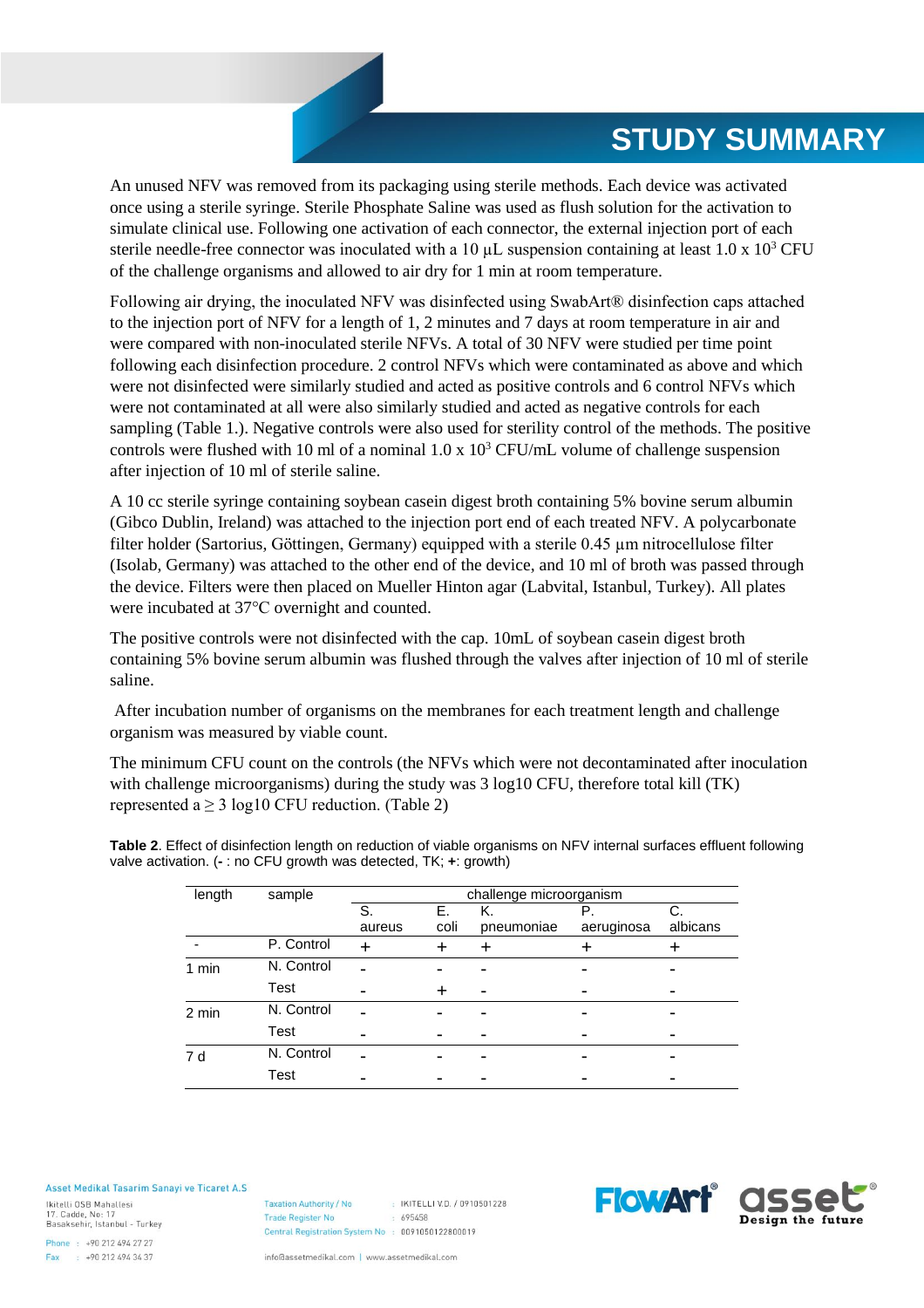## **STUDY SUMMARY**

An unused NFV was removed from its packaging using sterile methods. Each device was activated once using a sterile syringe. Sterile Phosphate Saline was used as flush solution for the activation to simulate clinical use. Following one activation of each connector, the external injection port of each sterile needle-free connector was inoculated with a 10  $\mu$ L suspension containing at least 1.0 x 10<sup>3</sup> CFU of the challenge organisms and allowed to air dry for 1 min at room temperature.

Following air drying, the inoculated NFV was disinfected using SwabArt® disinfection caps attached to the injection port of NFV for a length of 1, 2 minutes and 7 days at room temperature in air and were compared with non-inoculated sterile NFVs. A total of 30 NFV were studied per time point following each disinfection procedure. 2 control NFVs which were contaminated as above and which were not disinfected were similarly studied and acted as positive controls and 6 control NFVs which were not contaminated at all were also similarly studied and acted as negative controls for each sampling [\(Table 1.\)](#page-0-0). Negative controls were also used for sterility control of the methods. The positive controls were flushed with 10 ml of a nominal  $1.0 \times 10^3$  CFU/mL volume of challenge suspension after injection of 10 ml of sterile saline.

A 10 cc sterile syringe containing soybean casein digest broth containing 5% bovine serum albumin (Gibco Dublin, Ireland) was attached to the injection port end of each treated NFV. A polycarbonate filter holder (Sartorius, Göttingen, Germany) equipped with a sterile 0.45 µm nitrocellulose filter (Isolab, Germany) was attached to the other end of the device, and 10 ml of broth was passed through the device. Filters were then placed on Mueller Hinton agar (Labvital, Istanbul, Turkey). All plates were incubated at 37°C overnight and counted.

The positive controls were not disinfected with the cap. 10mL of soybean casein digest broth containing 5% bovine serum albumin was flushed through the valves after injection of 10 ml of sterile saline.

After incubation number of organisms on the membranes for each treatment length and challenge organism was measured by viable count.

The minimum CFU count on the controls (the NFVs which were not decontaminated after inoculation with challenge microorganisms) during the study was 3 log10 CFU, therefore total kill (TK) represented a  $\geq$  3 log10 CFU reduction. [\(Table 2\)](#page-1-0)

| length | sample     | challenge microorganism |            |                  |                  |                |  |  |
|--------|------------|-------------------------|------------|------------------|------------------|----------------|--|--|
|        |            | S.<br>aureus            | Е.<br>coli | K.<br>pneumoniae | Р.<br>aeruginosa | С.<br>albicans |  |  |
|        | P. Control |                         |            |                  |                  |                |  |  |
| 1 min  | N. Control |                         |            |                  |                  |                |  |  |
|        | Test       |                         |            |                  |                  |                |  |  |
| 2 min  | N. Control |                         |            |                  |                  |                |  |  |
|        | Test       |                         |            |                  |                  |                |  |  |
| 7 d    | N. Control |                         |            |                  |                  |                |  |  |
|        | Test       |                         |            |                  |                  |                |  |  |

<span id="page-1-0"></span>**Table 2**. Effect of disinfection length on reduction of viable organisms on NFV internal surfaces effluent following valve activation. (**-** : no CFU growth was detected, TK; **+**: growth)

#### Asset Medikal Tasarim Sanavi ve Ticaret A.S.

Ikitelli OSB Mahallesi 17. Cadde, No: 17 Basaksehir, Istanbul - Turkey

Phone: +90 212 494 27 27 Fax: +90 212 494 34 37

: IKITELLI V.D. / 0910501228 **Taxation Authority / No Trade Register No.**  $695458$ Central Registration System No : 0091050122800019

info@assetmedikal.com | www.assetmedikal.com